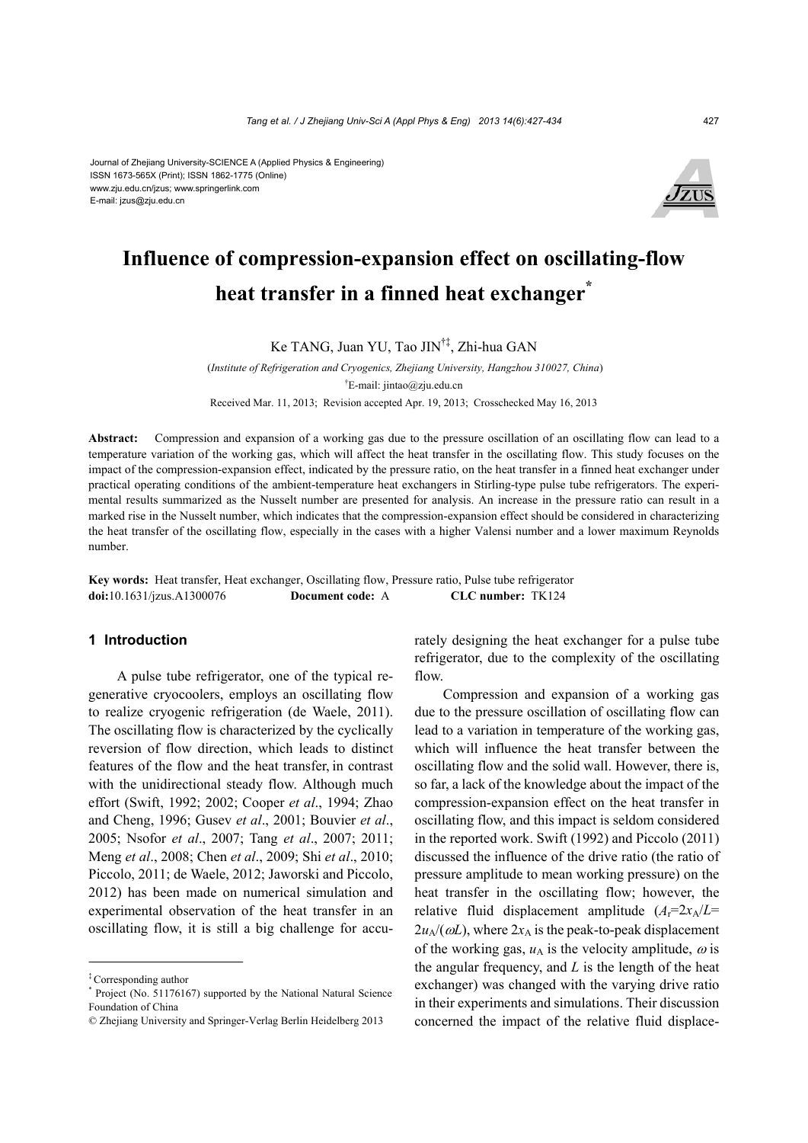Journal of Zhejiang University-SCIENCE A (Applied Physics & Engineering) ISSN 1673-565X (Print); ISSN 1862-1775 (Online) www.zju.edu.cn/jzus; www.springerlink.com E-mail: jzus@zju.edu.cn



# **Influence of compression-expansion effect on oscillating-flow heat transfer in a finned heat exchanger\***

Ke TANG, Juan YU, Tao JIN†‡, Zhi-hua GAN

 (*Institute of Refrigeration and Cryogenics, Zhejiang University, Hangzhou 310027, China*) † E-mail: jintao@zju.edu.cn Received Mar. 11, 2013; Revision accepted Apr. 19, 2013; Crosschecked May 16, 2013

**Abstract:** Compression and expansion of a working gas due to the pressure oscillation of an oscillating flow can lead to a temperature variation of the working gas, which will affect the heat transfer in the oscillating flow. This study focuses on the impact of the compression-expansion effect, indicated by the pressure ratio, on the heat transfer in a finned heat exchanger under practical operating conditions of the ambient-temperature heat exchangers in Stirling-type pulse tube refrigerators. The experimental results summarized as the Nusselt number are presented for analysis. An increase in the pressure ratio can result in a marked rise in the Nusselt number, which indicates that the compression-expansion effect should be considered in characterizing the heat transfer of the oscillating flow, especially in the cases with a higher Valensi number and a lower maximum Reynolds number.

**Key words:** Heat transfer, Heat exchanger, Oscillating flow, Pressure ratio, Pulse tube refrigerator **doi:**10.1631/jzus.A1300076 **Document code:** A **CLC number:** TK124

#### **1 Introduction**

A pulse tube refrigerator, one of the typical regenerative cryocoolers, employs an oscillating flow to realize cryogenic refrigeration (de Waele, 2011). The oscillating flow is characterized by the cyclically reversion of flow direction, which leads to distinct features of the flow and the heat transfer, in contrast with the unidirectional steady flow. Although much effort (Swift, 1992; 2002; Cooper *et al*., 1994; Zhao and Cheng, 1996; Gusev *et al*., 2001; Bouvier *et al*., 2005; Nsofor *et al*., 2007; Tang *et al*., 2007; 2011; Meng *et al*., 2008; Chen *et al*., 2009; Shi *et al*., 2010; Piccolo, 2011; de Waele, 2012; Jaworski and Piccolo, 2012) has been made on numerical simulation and experimental observation of the heat transfer in an oscillating flow, it is still a big challenge for accurately designing the heat exchanger for a pulse tube refrigerator, due to the complexity of the oscillating flow.

Compression and expansion of a working gas due to the pressure oscillation of oscillating flow can lead to a variation in temperature of the working gas, which will influence the heat transfer between the oscillating flow and the solid wall. However, there is, so far, a lack of the knowledge about the impact of the compression-expansion effect on the heat transfer in oscillating flow, and this impact is seldom considered in the reported work. Swift (1992) and Piccolo (2011) discussed the influence of the drive ratio (the ratio of pressure amplitude to mean working pressure) on the heat transfer in the oscillating flow; however, the relative fluid displacement amplitude  $(A_r=2x_A/L=$  $2u_A/(\omega L)$ , where  $2x_A$  is the peak-to-peak displacement of the working gas,  $u_A$  is the velocity amplitude,  $\omega$  is the angular frequency, and *L* is the length of the heat exchanger) was changed with the varying drive ratio in their experiments and simulations. Their discussion concerned the impact of the relative fluid displace-

<sup>‡</sup> Corresponding author

<sup>\*</sup> Project (No. 51176167) supported by the National Natural Science Foundation of China

<sup>©</sup> Zhejiang University and Springer-Verlag Berlin Heidelberg 2013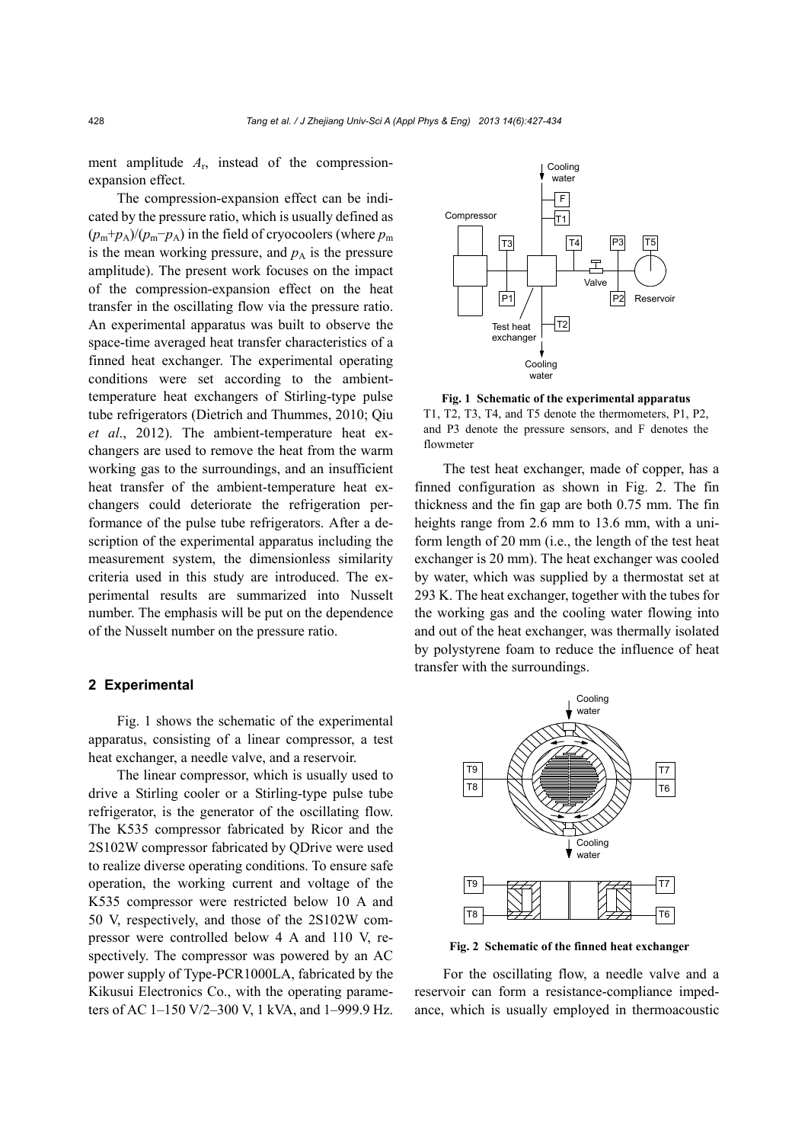ment amplitude  $A_r$ , instead of the compressionexpansion effect.

The compression-expansion effect can be indicated by the pressure ratio, which is usually defined as  $(p_m+p_A)/(p_m-p_A)$  in the field of cryocoolers (where  $p_m$ is the mean working pressure, and  $p_A$  is the pressure amplitude). The present work focuses on the impact of the compression-expansion effect on the heat transfer in the oscillating flow via the pressure ratio. An experimental apparatus was built to observe the space-time averaged heat transfer characteristics of a finned heat exchanger. The experimental operating conditions were set according to the ambienttemperature heat exchangers of Stirling-type pulse tube refrigerators (Dietrich and Thummes, 2010; Qiu *et al*., 2012). The ambient-temperature heat exchangers are used to remove the heat from the warm working gas to the surroundings, and an insufficient heat transfer of the ambient-temperature heat exchangers could deteriorate the refrigeration performance of the pulse tube refrigerators. After a description of the experimental apparatus including the measurement system, the dimensionless similarity criteria used in this study are introduced. The experimental results are summarized into Nusselt number. The emphasis will be put on the dependence of the Nusselt number on the pressure ratio.

#### **2 Experimental**

Fig. 1 shows the schematic of the experimental apparatus, consisting of a linear compressor, a test heat exchanger, a needle valve, and a reservoir.

The linear compressor, which is usually used to drive a Stirling cooler or a Stirling-type pulse tube refrigerator, is the generator of the oscillating flow. The K535 compressor fabricated by Ricor and the 2S102W compressor fabricated by QDrive were used to realize diverse operating conditions. To ensure safe operation, the working current and voltage of the K535 compressor were restricted below 10 A and 50 V, respectively, and those of the 2S102W compressor were controlled below 4 A and 110 V, respectively. The compressor was powered by an AC power supply of Type-PCR1000LA, fabricated by the Kikusui Electronics Co., with the operating parameters of AC 1–150 V/2–300 V, 1 kVA, and 1–999.9 Hz.



**Fig. 1 Schematic of the experimental apparatus**  T1, T2, T3, T4, and T5 denote the thermometers, P1, P2, and P3 denote the pressure sensors, and F denotes the flowmeter

The test heat exchanger, made of copper, has a finned configuration as shown in Fig. 2. The fin thickness and the fin gap are both 0.75 mm. The fin heights range from 2.6 mm to 13.6 mm, with a uniform length of 20 mm (i.e., the length of the test heat exchanger is 20 mm). The heat exchanger was cooled by water, which was supplied by a thermostat set at 293 K. The heat exchanger, together with the tubes for the working gas and the cooling water flowing into and out of the heat exchanger, was thermally isolated by polystyrene foam to reduce the influence of heat transfer with the surroundings.



**Fig. 2 Schematic of the finned heat exchanger** 

For the oscillating flow, a needle valve and a reservoir can form a resistance-compliance impedance, which is usually employed in thermoacoustic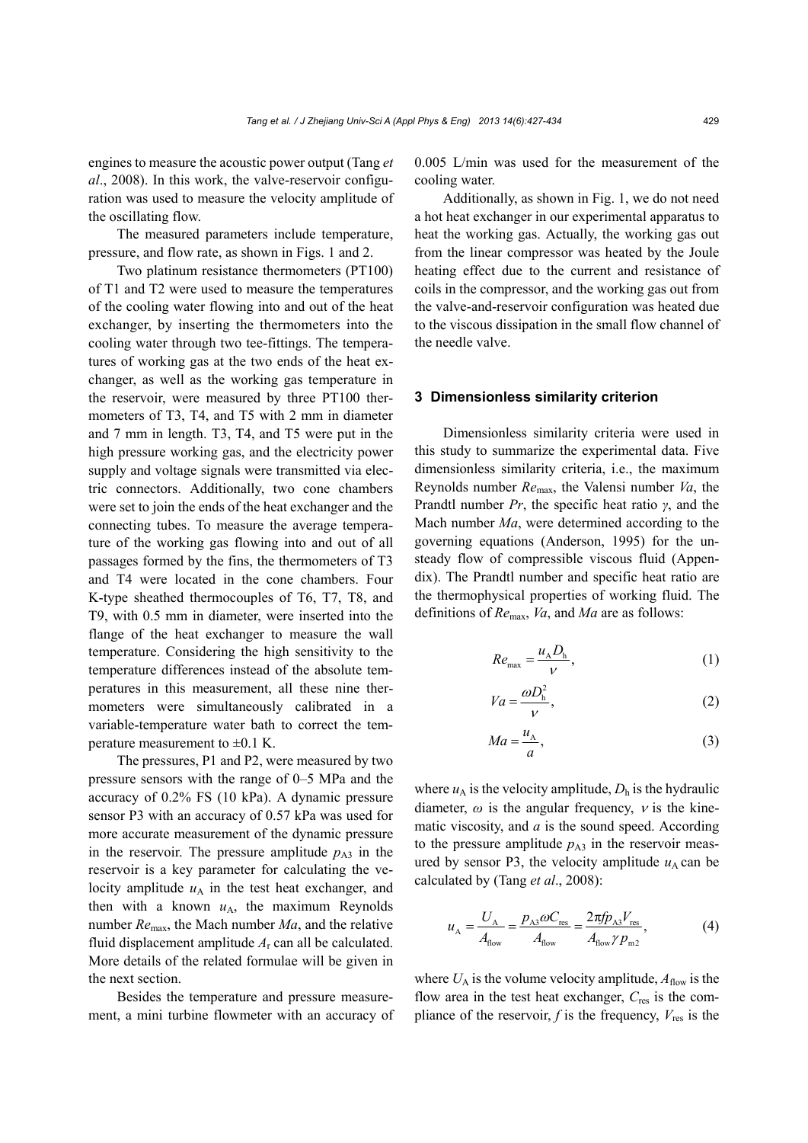engines to measure the acoustic power output (Tang *et al*., 2008). In this work, the valve-reservoir configuration was used to measure the velocity amplitude of the oscillating flow.

The measured parameters include temperature, pressure, and flow rate, as shown in Figs. 1 and 2.

Two platinum resistance thermometers (PT100) of T1 and T2 were used to measure the temperatures of the cooling water flowing into and out of the heat exchanger, by inserting the thermometers into the cooling water through two tee-fittings. The temperatures of working gas at the two ends of the heat exchanger, as well as the working gas temperature in the reservoir, were measured by three PT100 thermometers of T3, T4, and T5 with 2 mm in diameter and 7 mm in length. T3, T4, and T5 were put in the high pressure working gas, and the electricity power supply and voltage signals were transmitted via electric connectors. Additionally, two cone chambers were set to join the ends of the heat exchanger and the connecting tubes. To measure the average temperature of the working gas flowing into and out of all passages formed by the fins, the thermometers of T3 and T4 were located in the cone chambers. Four K-type sheathed thermocouples of T6, T7, T8, and T9, with 0.5 mm in diameter, were inserted into the flange of the heat exchanger to measure the wall temperature. Considering the high sensitivity to the temperature differences instead of the absolute temperatures in this measurement, all these nine thermometers were simultaneously calibrated in a variable-temperature water bath to correct the temperature measurement to  $\pm 0.1$  K.

The pressures, P1 and P2, were measured by two pressure sensors with the range of 0–5 MPa and the accuracy of 0.2% FS (10 kPa). A dynamic pressure sensor P3 with an accuracy of 0.57 kPa was used for more accurate measurement of the dynamic pressure in the reservoir. The pressure amplitude  $p_{A3}$  in the reservoir is a key parameter for calculating the velocity amplitude  $u_A$  in the test heat exchanger, and then with a known  $u_A$ , the maximum Reynolds number *Re*max, the Mach number *Ma*, and the relative fluid displacement amplitude *A*r can all be calculated. More details of the related formulae will be given in the next section.

Besides the temperature and pressure measurement, a mini turbine flowmeter with an accuracy of 0.005 L/min was used for the measurement of the cooling water.

Additionally, as shown in Fig. 1, we do not need a hot heat exchanger in our experimental apparatus to heat the working gas. Actually, the working gas out from the linear compressor was heated by the Joule heating effect due to the current and resistance of coils in the compressor, and the working gas out from the valve-and-reservoir configuration was heated due to the viscous dissipation in the small flow channel of the needle valve.

#### **3 Dimensionless similarity criterion**

Dimensionless similarity criteria were used in this study to summarize the experimental data. Five dimensionless similarity criteria, i.e., the maximum Reynolds number *Re*max, the Valensi number *Va*, the Prandtl number *Pr*, the specific heat ratio *γ*, and the Mach number *Ma*, were determined according to the governing equations (Anderson, 1995) for the unsteady flow of compressible viscous fluid (Appendix). The Prandtl number and specific heat ratio are the thermophysical properties of working fluid. The definitions of *Re*max, *Va*, and *Ma* are as follows:

$$
Re_{\text{max}} = \frac{u_A D_{\text{h}}}{V},\tag{1}
$$

$$
Va = \frac{\omega D_h^2}{V},\tag{2}
$$

$$
Ma = \frac{u_A}{a},\tag{3}
$$

where  $u_A$  is the velocity amplitude,  $D_h$  is the hydraulic diameter,  $\omega$  is the angular frequency,  $\nu$  is the kinematic viscosity, and *a* is the sound speed. According to the pressure amplitude  $p_{A3}$  in the reservoir measured by sensor P3, the velocity amplitude  $u_A$  can be calculated by (Tang *et al*., 2008):

$$
u_{A} = \frac{U_{A}}{A_{flow}} = \frac{p_{A3}\omega C_{res}}{A_{flow}} = \frac{2\pi f p_{A3}V_{res}}{A_{flow}\gamma p_{m2}},
$$
(4)

where  $U_A$  is the volume velocity amplitude,  $A_{flow}$  is the flow area in the test heat exchanger, *C*res is the compliance of the reservoir,  $f$  is the frequency,  $V_{res}$  is the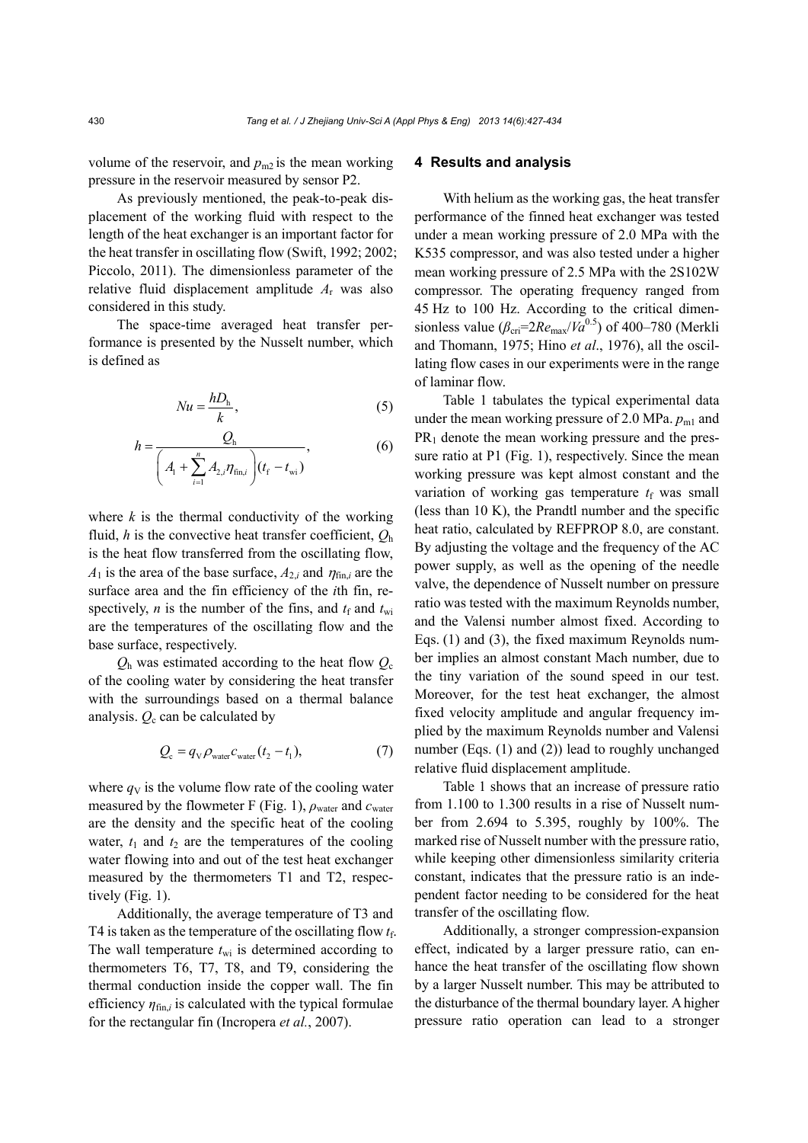volume of the reservoir, and  $p_{m2}$  is the mean working pressure in the reservoir measured by sensor P2.

As previously mentioned, the peak-to-peak displacement of the working fluid with respect to the length of the heat exchanger is an important factor for the heat transfer in oscillating flow (Swift, 1992; 2002; Piccolo, 2011). The dimensionless parameter of the relative fluid displacement amplitude *A*r was also considered in this study.

The space-time averaged heat transfer performance is presented by the Nusselt number, which is defined as

$$
Nu = \frac{hD_{\rm h}}{k},\tag{5}
$$

$$
h = \frac{Q_{h}}{\left(A_{1} + \sum_{i=1}^{n} A_{2,i} \eta_{fin,i}\right) (t_{f} - t_{wi})},
$$
(6)

where  $k$  is the thermal conductivity of the working fluid, *h* is the convective heat transfer coefficient, *Q*<sup>h</sup> is the heat flow transferred from the oscillating flow,  $A_1$  is the area of the base surface,  $A_{2i}$  and  $\eta_{fini}$  are the surface area and the fin efficiency of the *i*th fin, respectively, *n* is the number of the fins, and  $t_f$  and  $t_{wi}$ are the temperatures of the oscillating flow and the base surface, respectively.

 $Q<sub>h</sub>$  was estimated according to the heat flow  $Q<sub>c</sub>$ of the cooling water by considering the heat transfer with the surroundings based on a thermal balance analysis.  $Q_c$  can be calculated by

$$
Q_{\rm c} = q_{\rm v} \rho_{\rm water} c_{\rm water} (t_2 - t_1), \tag{7}
$$

where  $q_V$  is the volume flow rate of the cooling water measured by the flowmeter F (Fig. 1),  $\rho_{\text{water}}$  and  $c_{\text{water}}$ are the density and the specific heat of the cooling water,  $t_1$  and  $t_2$  are the temperatures of the cooling water flowing into and out of the test heat exchanger measured by the thermometers T1 and T2, respectively (Fig. 1).

Additionally, the average temperature of T3 and T4 is taken as the temperature of the oscillating flow  $t_f$ . The wall temperature  $t_{\rm wi}$  is determined according to thermometers T6, T7, T8, and T9, considering the thermal conduction inside the copper wall. The fin efficiency  $\eta_{fin i}$  is calculated with the typical formulae for the rectangular fin (Incropera *et al.*, 2007).

#### **4 Results and analysis**

With helium as the working gas, the heat transfer performance of the finned heat exchanger was tested under a mean working pressure of 2.0 MPa with the K535 compressor, and was also tested under a higher mean working pressure of 2.5 MPa with the 2S102W compressor. The operating frequency ranged from 45 Hz to 100 Hz. According to the critical dimensionless value ( $\beta_{\text{cri}}=2Re_{\text{max}}/Va^{0.5}$ ) of 400–780 (Merkli and Thomann, 1975; Hino *et al*., 1976), all the oscillating flow cases in our experiments were in the range of laminar flow.

Table 1 tabulates the typical experimental data under the mean working pressure of 2.0 MPa.  $p_{m1}$  and  $PR<sub>1</sub>$  denote the mean working pressure and the pressure ratio at P1 (Fig. 1), respectively. Since the mean working pressure was kept almost constant and the variation of working gas temperature  $t_f$  was small (less than 10 K), the Prandtl number and the specific heat ratio, calculated by REFPROP 8.0, are constant. By adjusting the voltage and the frequency of the AC power supply, as well as the opening of the needle valve, the dependence of Nusselt number on pressure ratio was tested with the maximum Reynolds number, and the Valensi number almost fixed. According to Eqs. (1) and (3), the fixed maximum Reynolds number implies an almost constant Mach number, due to the tiny variation of the sound speed in our test. Moreover, for the test heat exchanger, the almost fixed velocity amplitude and angular frequency implied by the maximum Reynolds number and Valensi number (Eqs. (1) and (2)) lead to roughly unchanged relative fluid displacement amplitude.

Table 1 shows that an increase of pressure ratio from 1.100 to 1.300 results in a rise of Nusselt number from 2.694 to 5.395, roughly by 100%. The marked rise of Nusselt number with the pressure ratio, while keeping other dimensionless similarity criteria constant, indicates that the pressure ratio is an independent factor needing to be considered for the heat transfer of the oscillating flow.

Additionally, a stronger compression-expansion effect, indicated by a larger pressure ratio, can enhance the heat transfer of the oscillating flow shown by a larger Nusselt number. This may be attributed to the disturbance of the thermal boundary layer. A higher pressure ratio operation can lead to a stronger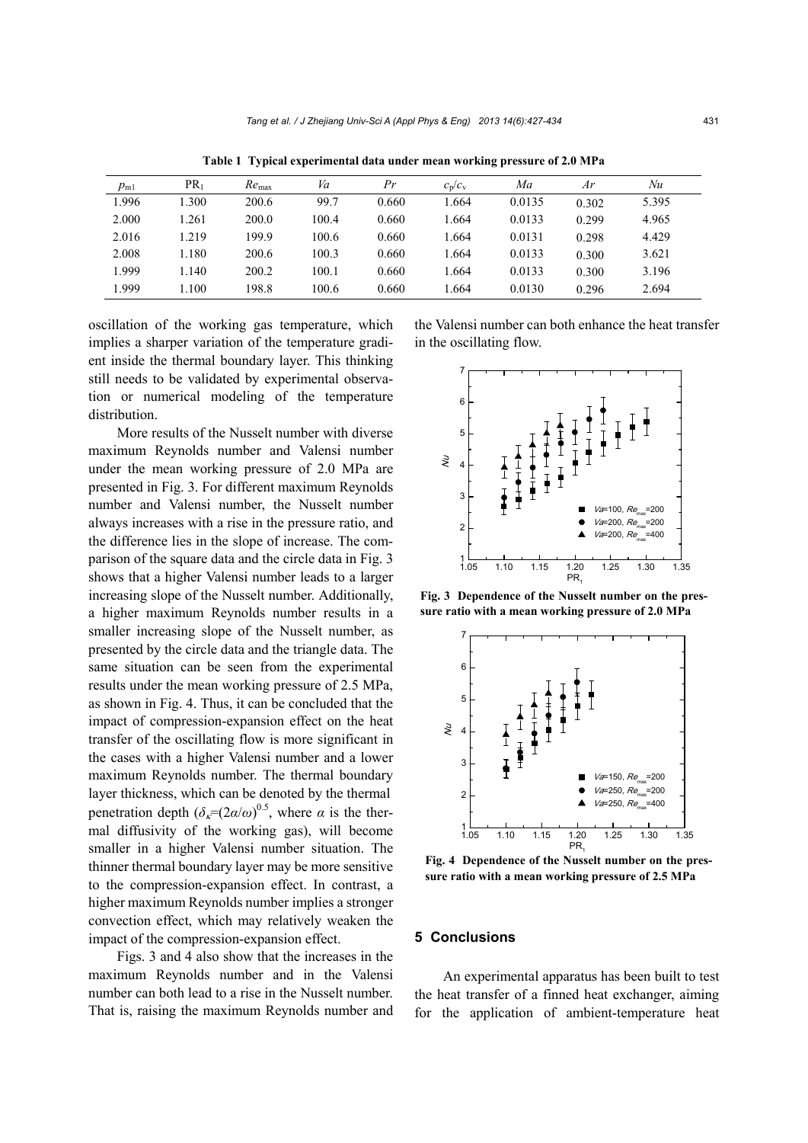|          | $PR_1$ | $Re_{\text{max}}$ | Va    | Pr    |           | Ma     | Ar    | Nu    |
|----------|--------|-------------------|-------|-------|-----------|--------|-------|-------|
| $p_{m1}$ |        |                   |       |       | $c_p/c_v$ |        |       |       |
| 1.996    | 1.300  | 200.6             | 99.7  | 0.660 | 1.664     | 0.0135 | 0.302 | 5.395 |
| 2.000    | 1.261  | 200.0             | 100.4 | 0.660 | 1.664     | 0.0133 | 0.299 | 4.965 |
| 2.016    | 1.219  | 199.9             | 100.6 | 0.660 | 1.664     | 0.0131 | 0.298 | 4.429 |
| 2.008    | 1.180  | 200.6             | 100.3 | 0.660 | 1.664     | 0.0133 | 0.300 | 3.621 |
| 1.999    | 1.140  | 200.2             | 100.1 | 0.660 | 1.664     | 0.0133 | 0.300 | 3.196 |
| 1.999    | 1.100  | 198.8             | 100.6 | 0.660 | 1.664     | 0.0130 | 0.296 | 2.694 |

**Table 1 Typical experimental data under mean working pressure of 2.0 MPa** 

oscillation of the working gas temperature, which implies a sharper variation of the temperature gradient inside the thermal boundary layer. This thinking still needs to be validated by experimental observation or numerical modeling of the temperature distribution.

More results of the Nusselt number with diverse maximum Reynolds number and Valensi number under the mean working pressure of 2.0 MPa are presented in Fig. 3. For different maximum Reynolds number and Valensi number, the Nusselt number always increases with a rise in the pressure ratio, and the difference lies in the slope of increase. The comparison of the square data and the circle data in Fig. 3 shows that a higher Valensi number leads to a larger increasing slope of the Nusselt number. Additionally, a higher maximum Reynolds number results in a smaller increasing slope of the Nusselt number, as presented by the circle data and the triangle data. The same situation can be seen from the experimental results under the mean working pressure of 2.5 MPa, as shown in Fig. 4. Thus, it can be concluded that the impact of compression-expansion effect on the heat transfer of the oscillating flow is more significant in the cases with a higher Valensi number and a lower maximum Reynolds number. The thermal boundary layer thickness, which can be denoted by the thermal penetration depth  $(\delta_{\kappa} = (2\alpha/\omega)^{0.5})$ , where  $\alpha$  is the thermal diffusivity of the working gas), will become smaller in a higher Valensi number situation. The thinner thermal boundary layer may be more sensitive to the compression-expansion effect. In contrast, a higher maximum Reynolds number implies a stronger convection effect, which may relatively weaken the impact of the compression-expansion effect.

Figs. 3 and 4 also show that the increases in the maximum Reynolds number and in the Valensi number can both lead to a rise in the Nusselt number. That is, raising the maximum Reynolds number and the Valensi number can both enhance the heat transfer in the oscillating flow.



**Fig. 3 Dependence of the Nusselt number on the pressure ratio with a mean working pressure of 2.0 MPa** 



**Fig. 4 Dependence of the Nusselt number on the pressure ratio with a mean working pressure of 2.5 MPa** 

#### **5 Conclusions**

An experimental apparatus has been built to test the heat transfer of a finned heat exchanger, aiming for the application of ambient-temperature heat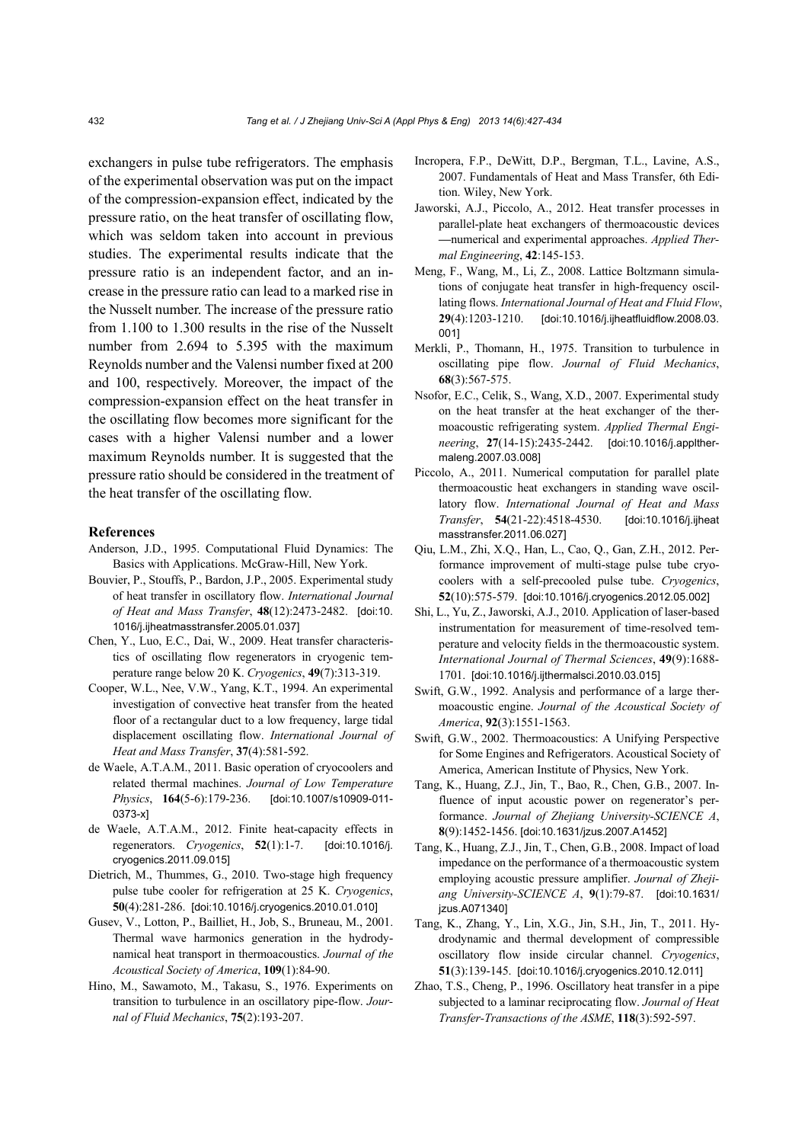exchangers in pulse tube refrigerators. The emphasis of the experimental observation was put on the impact of the compression-expansion effect, indicated by the pressure ratio, on the heat transfer of oscillating flow, which was seldom taken into account in previous studies. The experimental results indicate that the pressure ratio is an independent factor, and an increase in the pressure ratio can lead to a marked rise in the Nusselt number. The increase of the pressure ratio from 1.100 to 1.300 results in the rise of the Nusselt number from 2.694 to 5.395 with the maximum Reynolds number and the Valensi number fixed at 200 and 100, respectively. Moreover, the impact of the compression-expansion effect on the heat transfer in the oscillating flow becomes more significant for the cases with a higher Valensi number and a lower maximum Reynolds number. It is suggested that the pressure ratio should be considered in the treatment of the heat transfer of the oscillating flow.

#### **References**

- Anderson, J.D., 1995. Computational Fluid Dynamics: The Basics with Applications. McGraw-Hill, New York.
- Bouvier, P., Stouffs, P., Bardon, J.P., 2005. Experimental study of heat transfer in oscillatory flow. *International Journal of Heat and Mass Transfer*, **48**(12):2473-2482. [doi:10. 1016/j.ijheatmasstransfer.2005.01.037]
- Chen, Y., Luo, E.C., Dai, W., 2009. Heat transfer characteristics of oscillating flow regenerators in cryogenic temperature range below 20 K. *Cryogenics*, **49**(7):313-319.
- Cooper, W.L., Nee, V.W., Yang, K.T., 1994. An experimental investigation of convective heat transfer from the heated floor of a rectangular duct to a low frequency, large tidal displacement oscillating flow. *International Journal of Heat and Mass Transfer*, **37**(4):581-592.
- de Waele, A.T.A.M., 2011. Basic operation of cryocoolers and related thermal machines. *Journal of Low Temperature Physics*, **164**(5-6):179-236. [doi:10.1007/s10909-011- 0373-x]
- de Waele, A.T.A.M., 2012. Finite heat-capacity effects in regenerators. *Cryogenics*, **52**(1):1-7. [doi:10.1016/j. cryogenics.2011.09.015]
- Dietrich, M., Thummes, G., 2010. Two-stage high frequency pulse tube cooler for refrigeration at 25 K. *Cryogenics*, **50**(4):281-286. [doi:10.1016/j.cryogenics.2010.01.010]
- Gusev, V., Lotton, P., Bailliet, H., Job, S., Bruneau, M., 2001. Thermal wave harmonics generation in the hydrodynamical heat transport in thermoacoustics. *Journal of the Acoustical Society of America*, **109**(1):84-90.
- Hino, M., Sawamoto, M., Takasu, S., 1976. Experiments on transition to turbulence in an oscillatory pipe-flow. *Journal of Fluid Mechanics*, **75**(2):193-207.
- Incropera, F.P., DeWitt, D.P., Bergman, T.L., Lavine, A.S., 2007. Fundamentals of Heat and Mass Transfer, 6th Edition. Wiley, New York.
- Jaworski, A.J., Piccolo, A., 2012. Heat transfer processes in parallel-plate heat exchangers of thermoacoustic devices **—**numerical and experimental approaches. *Applied Thermal Engineering*, **42**:145-153.
- Meng, F., Wang, M., Li, Z., 2008. Lattice Boltzmann simulations of conjugate heat transfer in high-frequency oscillating flows. *International Journal of Heat and Fluid Flow*, **29**(4):1203-1210. [doi:10.1016/j.ijheatfluidflow.2008.03. 001]
- Merkli, P., Thomann, H., 1975. Transition to turbulence in oscillating pipe flow. *Journal of Fluid Mechanics*, **68**(3):567-575.
- Nsofor, E.C., Celik, S., Wang, X.D., 2007. Experimental study on the heat transfer at the heat exchanger of the thermoacoustic refrigerating system. *Applied Thermal Engineering*, **27**(14-15):2435-2442. [doi:10.1016/j.applthermaleng.2007.03.008]
- Piccolo, A., 2011. Numerical computation for parallel plate thermoacoustic heat exchangers in standing wave oscillatory flow. *International Journal of Heat and Mass Transfer*, **54**(21-22):4518-4530. [doi:10.1016/j.ijheat masstransfer.2011.06.027]
- Qiu, L.M., Zhi, X.Q., Han, L., Cao, Q., Gan, Z.H., 2012. Performance improvement of multi-stage pulse tube cryocoolers with a self-precooled pulse tube. *Cryogenics*, **52**(10):575-579. [doi:10.1016/j.cryogenics.2012.05.002]
- Shi, L., Yu, Z., Jaworski, A.J., 2010. Application of laser-based instrumentation for measurement of time-resolved temperature and velocity fields in the thermoacoustic system. *International Journal of Thermal Sciences*, **49**(9):1688- 1701. [doi:10.1016/j.ijthermalsci.2010.03.015]
- Swift, G.W., 1992. Analysis and performance of a large thermoacoustic engine. *Journal of the Acoustical Society of America*, **92**(3):1551-1563.
- Swift, G.W., 2002. Thermoacoustics: A Unifying Perspective for Some Engines and Refrigerators. Acoustical Society of America, American Institute of Physics, New York.
- Tang, K., Huang, Z.J., Jin, T., Bao, R., Chen, G.B., 2007. Influence of input acoustic power on regenerator's performance. *Journal of Zhejiang University-SCIENCE A*, **8**(9):1452-1456. [doi:10.1631/jzus.2007.A1452]
- Tang, K., Huang, Z.J., Jin, T., Chen, G.B., 2008. Impact of load impedance on the performance of a thermoacoustic system employing acoustic pressure amplifier. *Journal of Zhejiang University-SCIENCE A*, **9**(1):79-87. [doi:10.1631/ jzus.A071340]
- Tang, K., Zhang, Y., Lin, X.G., Jin, S.H., Jin, T., 2011. Hydrodynamic and thermal development of compressible oscillatory flow inside circular channel. *Cryogenics*, **51**(3):139-145. [doi:10.1016/j.cryogenics.2010.12.011]
- Zhao, T.S., Cheng, P., 1996. Oscillatory heat transfer in a pipe subjected to a laminar reciprocating flow. *Journal of Heat Transfer-Transactions of the ASME*, **118**(3):592-597.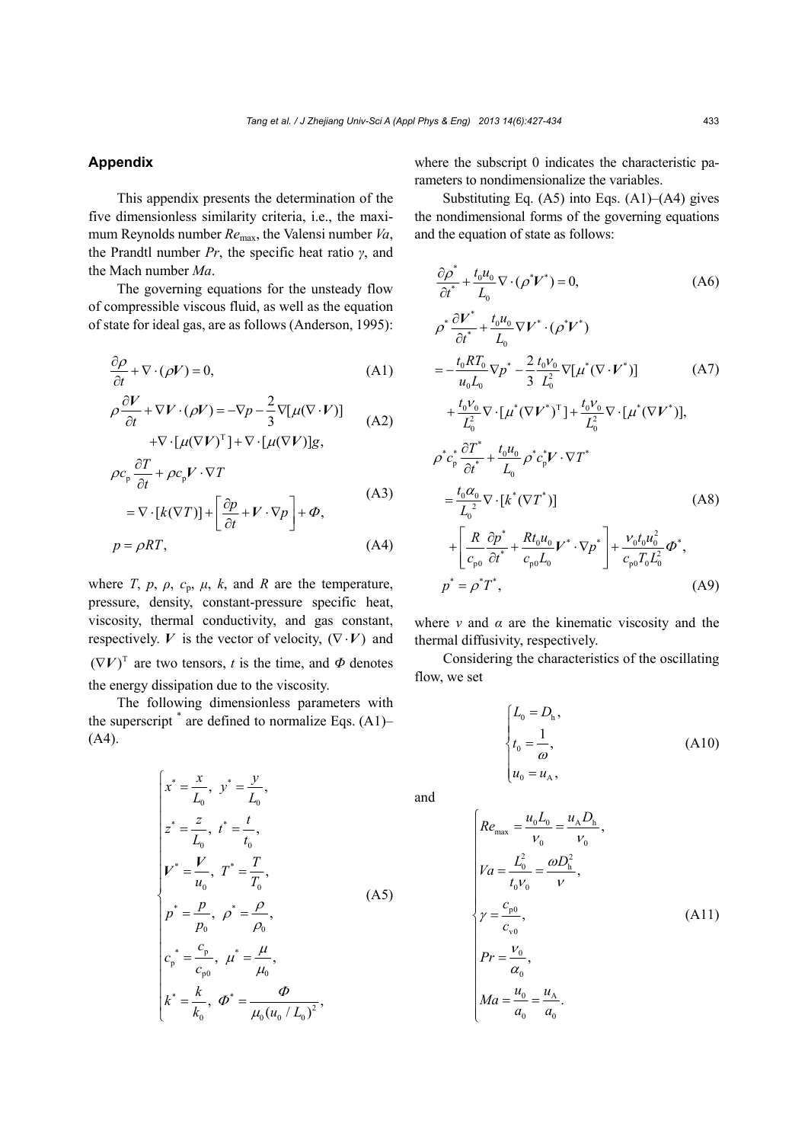## **Appendix**

This appendix presents the determination of the five dimensionless similarity criteria, i.e., the maximum Reynolds number *Re*max, the Valensi number *Va*, the Prandtl number *Pr*, the specific heat ratio *γ*, and the Mach number *Ma*.

The governing equations for the unsteady flow of compressible viscous fluid, as well as the equation of state for ideal gas, are as follows (Anderson, 1995):

$$
\frac{\partial \rho}{\partial t} + \nabla \cdot (\rho V) = 0,\tag{A1}
$$

$$
\rho \frac{\partial V}{\partial t} + \nabla V \cdot (\rho V) = -\nabla p - \frac{2}{3} \nabla [\mu (\nabla \cdot V)]
$$
  
+  $\nabla \cdot [\mu (\nabla V)^{\mathrm{T}}] + \nabla \cdot [\mu (\nabla V)]g,$  (A2)

$$
\rho c_p \frac{\partial T}{\partial t} + \rho c_p V \cdot \nabla T
$$
  
=  $\nabla \cdot [k(\nabla T)] + \left[ \frac{\partial p}{\partial t} + V \cdot \nabla p \right] + \Phi,$  (A3)

$$
p = \rho RT,\tag{A4}
$$

where *T*,  $p$ ,  $\rho$ ,  $c_p$ ,  $\mu$ ,  $k$ , and *R* are the temperature, pressure, density, constant-pressure specific heat, viscosity, thermal conductivity, and gas constant, respectively. *V* is the vector of velocity,  $(\nabla \cdot V)$  and  $(\nabla V)^T$  are two tensors, *t* is the time, and  $\Phi$  denotes the energy dissipation due to the viscosity.

The following dimensionless parameters with the superscript  $*$  are defined to normalize Eqs. (A1)– (A4).

$$
\begin{cases}\n x^* = \frac{x}{L_0}, \ y^* = \frac{y}{L_0}, \\
 z^* = \frac{z}{L_0}, \ t^* = \frac{t}{t_0}, \\
 V^* = \frac{V}{u_0}, \ T^* = \frac{T}{T_0}, \\
 p^* = \frac{p}{p_0}, \ \rho^* = \frac{\rho}{\rho_0}, \\
 c_p^* = \frac{c_p}{c_{p0}}, \ \mu^* = \frac{\mu}{\mu_0}, \\
 k^* = \frac{k}{k_0}, \ \Phi^* = \frac{\Phi}{\mu_0 (u_0 / L_0)^2},\n\end{cases} (A5)
$$

where the subscript 0 indicates the characteristic parameters to nondimensionalize the variables.

Substituting Eq.  $(A5)$  into Eqs.  $(A1)$ – $(A4)$  gives the nondimensional forms of the governing equations and the equation of state as follows:

$$
\frac{\partial \rho^*}{\partial t^*} + \frac{t_0 u_0}{L_0} \nabla \cdot (\rho^* V^*) = 0,
$$
\n(A6)

$$
\rho^* \frac{\partial V^*}{\partial t^*} + \frac{t_0 u_0}{L_0} \nabla V^* \cdot (\rho^* V^*)
$$
\n
$$
= -\frac{t_0 R T_0}{u_0 L_0} \nabla p^* - \frac{2}{3} \frac{t_0 V_0}{L_0^2} \nabla [\mu^* (\nabla \cdot V^*)]
$$
\n
$$
+ \frac{t_0 V_0}{L_0^2} \nabla \cdot [\mu^* (\nabla V^*)^T] + \frac{t_0 V_0}{L_0^2} \nabla \cdot [\mu^* (\nabla V^*)],
$$
\n
$$
\rho^* c_p^* \frac{\partial T^*}{\partial t^*} + \frac{t_0 u_0}{L_0} \rho^* c_p^* V \cdot \nabla T^*
$$
\n
$$
= \frac{t_0 \alpha_0}{L_0^2} \nabla \cdot [k^* (\nabla T^*)]
$$
\n
$$
+ \left[ \frac{R}{c_{p0}} \frac{\partial p^*}{\partial t^*} + \frac{R t_0 u_0}{c_{p0} L_0} V^* \cdot \nabla p^* \right] + \frac{V_0 t_0 u_0^2}{c_{p0} T_0 L_0^2} \phi^*,
$$
\n
$$
p^* = \rho^* T^*,
$$
\n(A9)

where  $\nu$  and  $\alpha$  are the kinematic viscosity and the thermal diffusivity, respectively.

Considering the characteristics of the oscillating flow, we set

$$
\begin{cases}\nL_0 = D_{\rm h}, \\
t_0 = \frac{1}{\omega}, \\
u_0 = u_{\rm A},\n\end{cases}
$$
\n(A10)

and

$$
\begin{cases}\nRe_{\text{max}} = \frac{u_0 L_0}{v_0} = \frac{u_A D_h}{v_0}, \\
V a = \frac{L_0^2}{t_0 v_0} = \frac{\omega D_h^2}{v}, \\
\gamma = \frac{c_{\text{p0}}}{c_{\text{v0}}}, \\
Pr = \frac{v_0}{\alpha_0}, \\
Ma = \frac{u_0}{a_0} = \frac{u_A}{a_0}.\n\end{cases} (A11)
$$